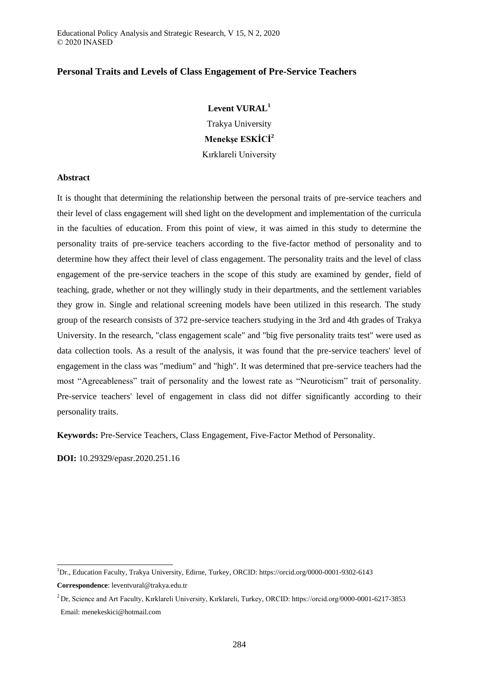## **Personal Traits and Levels of Class Engagement of Pre-Service Teachers**

## **Levent VURAL<sup>1</sup>**

Trakya University **Menekşe ESKİCİ<sup>2</sup>** Kırklareli University

#### **Abstract**

It is thought that determining the relationship between the personal traits of pre-service teachers and their level of class engagement will shed light on the development and implementation of the curricula in the faculties of education. From this point of view, it was aimed in this study to determine the personality traits of pre-service teachers according to the five-factor method of personality and to determine how they affect their level of class engagement. The personality traits and the level of class engagement of the pre-service teachers in the scope of this study are examined by gender, field of teaching, grade, whether or not they willingly study in their departments, and the settlement variables they grow in. Single and relational screening models have been utilized in this research. The study group of the research consists of 372 pre-service teachers studying in the 3rd and 4th grades of Trakya University. In the research, "class engagement scale" and "big five personality traits test" were used as data collection tools. As a result of the analysis, it was found that the pre-service teachers' level of engagement in the class was "medium" and "high". It was determined that pre-service teachers had the most "Agreeableness" trait of personality and the lowest rate as "Neuroticism" trait of personality. Pre-service teachers' level of engagement in class did not differ significantly according to their personality traits.

**Keywords:** Pre-Service Teachers, Class Engagement, Five-Factor Method of Personality.

**DOI:** 10.29329/epasr.2020.251.16

-

<sup>1</sup>Dr., Education Faculty, Trakya University, Edirne, Turkey, ORCID: https://orcid.org/0000-0001-9302-6143 **Correspondence**: leventvural@trakya.edu.tr

<sup>2</sup>Dr, Science and Art Faculty, Kırklareli University, Kırklareli, Turkey, ORCID: https://orcid.org/0000-0001-6217-3853 Email: menekeskici@hotmail.com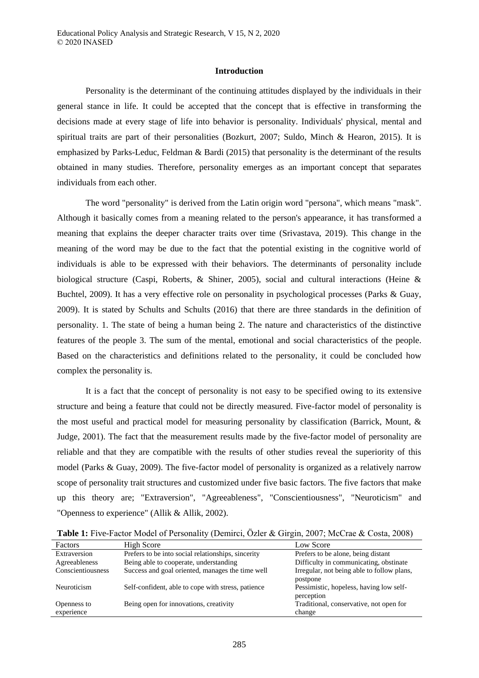#### **Introduction**

Personality is the determinant of the continuing attitudes displayed by the individuals in their general stance in life. It could be accepted that the concept that is effective in transforming the decisions made at every stage of life into behavior is personality. Individuals' physical, mental and spiritual traits are part of their personalities (Bozkurt, 2007; Suldo, Minch & Hearon, 2015). It is emphasized by Parks-Leduc, Feldman & Bardi (2015) that personality is the determinant of the results obtained in many studies. Therefore, personality emerges as an important concept that separates individuals from each other.

The word "personality" is derived from the Latin origin word "persona", which means "mask". Although it basically comes from a meaning related to the person's appearance, it has transformed a meaning that explains the deeper character traits over time (Srivastava, 2019). This change in the meaning of the word may be due to the fact that the potential existing in the cognitive world of individuals is able to be expressed with their behaviors. The determinants of personality include biological structure (Caspi, Roberts, & Shiner, 2005), social and cultural interactions (Heine & Buchtel, 2009). It has a very effective role on personality in psychological processes (Parks & Guay, 2009). It is stated by Schults and Schults (2016) that there are three standards in the definition of personality. 1. The state of being a human being 2. The nature and characteristics of the distinctive features of the people 3. The sum of the mental, emotional and social characteristics of the people. Based on the characteristics and definitions related to the personality, it could be concluded how complex the personality is.

It is a fact that the concept of personality is not easy to be specified owing to its extensive structure and being a feature that could not be directly measured. Five-factor model of personality is the most useful and practical model for measuring personality by classification (Barrick, Mount, & Judge, 2001). The fact that the measurement results made by the five-factor model of personality are reliable and that they are compatible with the results of other studies reveal the superiority of this model (Parks & Guay, 2009). The five-factor model of personality is organized as a relatively narrow scope of personality trait structures and customized under five basic factors. The five factors that make up this theory are; "Extraversion", "Agreeableness", "Conscientiousness", "Neuroticism" and "Openness to experience" (Allik & Allik, 2002).

**Table 1:** Five-Factor Model of Personality (Demirci, Özler & Girgin, 2007; McCrae & Costa, 2008)

| Factors           | High Score                                         | Low Score                                  |
|-------------------|----------------------------------------------------|--------------------------------------------|
| Extraversion      | Prefers to be into social relationships, sincerity | Prefers to be alone, being distant         |
| Agreeableness     | Being able to cooperate, understanding             | Difficulty in communicating, obstinate     |
| Conscientiousness | Success and goal oriented, manages the time well   | Irregular, not being able to follow plans, |
|                   |                                                    | postpone                                   |
| Neuroticism       | Self-confident, able to cope with stress, patience | Pessimistic, hopeless, having low self-    |
|                   |                                                    | perception                                 |
| Openness to       | Being open for innovations, creativity             | Traditional, conservative, not open for    |
| experience        |                                                    | change                                     |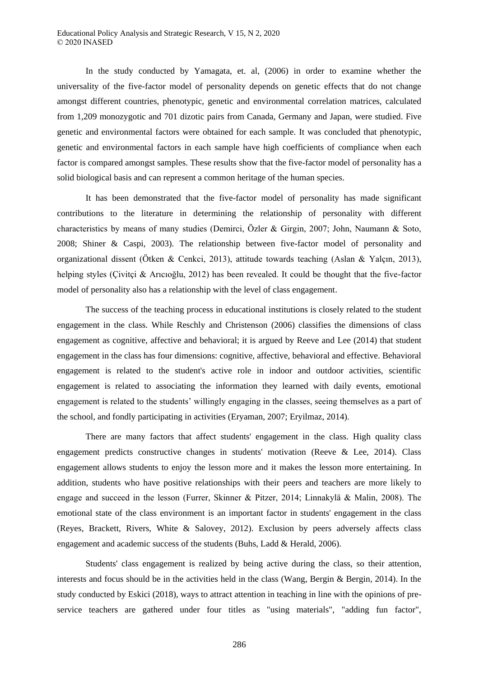In the study conducted by Yamagata, et. al, (2006) in order to examine whether the universality of the five-factor model of personality depends on genetic effects that do not change amongst different countries, phenotypic, genetic and environmental correlation matrices, calculated from 1,209 monozygotic and 701 dizotic pairs from Canada, Germany and Japan, were studied. Five genetic and environmental factors were obtained for each sample. It was concluded that phenotypic, genetic and environmental factors in each sample have high coefficients of compliance when each factor is compared amongst samples. These results show that the five-factor model of personality has a solid biological basis and can represent a common heritage of the human species.

It has been demonstrated that the five-factor model of personality has made significant contributions to the literature in determining the relationship of personality with different characteristics by means of many studies (Demirci, Özler & Girgin, 2007; John, Naumann & Soto, 2008; Shiner & Caspi, 2003). The relationship between five-factor model of personality and organizational dissent (Ötken & Cenkci, 2013), attitude towards teaching (Aslan & Yalçın, 2013), helping styles (Çivitçi & Arıcıoğlu, 2012) has been revealed. It could be thought that the five-factor model of personality also has a relationship with the level of class engagement.

The success of the teaching process in educational institutions is closely related to the student engagement in the class. While Reschly and Christenson (2006) classifies the dimensions of class engagement as cognitive, affective and behavioral; it is argued by Reeve and Lee (2014) that student engagement in the class has four dimensions: cognitive, affective, behavioral and effective. Behavioral engagement is related to the student's active role in indoor and outdoor activities, scientific engagement is related to associating the information they learned with daily events, emotional engagement is related to the students' willingly engaging in the classes, seeing themselves as a part of the school, and fondly participating in activities (Eryaman, 2007; Eryilmaz, 2014).

There are many factors that affect students' engagement in the class. High quality class engagement predicts constructive changes in students' motivation (Reeve & Lee, 2014). Class engagement allows students to enjoy the lesson more and it makes the lesson more entertaining. In addition, students who have positive relationships with their peers and teachers are more likely to engage and succeed in the lesson (Furrer, Skinner & Pitzer, 2014; Linnakylä & Malin, 2008). The emotional state of the class environment is an important factor in students' engagement in the class (Reyes, Brackett, Rivers, White & Salovey, 2012). Exclusion by peers adversely affects class engagement and academic success of the students (Buhs, Ladd & Herald, 2006).

Students' class engagement is realized by being active during the class, so their attention, interests and focus should be in the activities held in the class (Wang, Bergin & Bergin, 2014). In the study conducted by Eskici (2018), ways to attract attention in teaching in line with the opinions of preservice teachers are gathered under four titles as "using materials", "adding fun factor",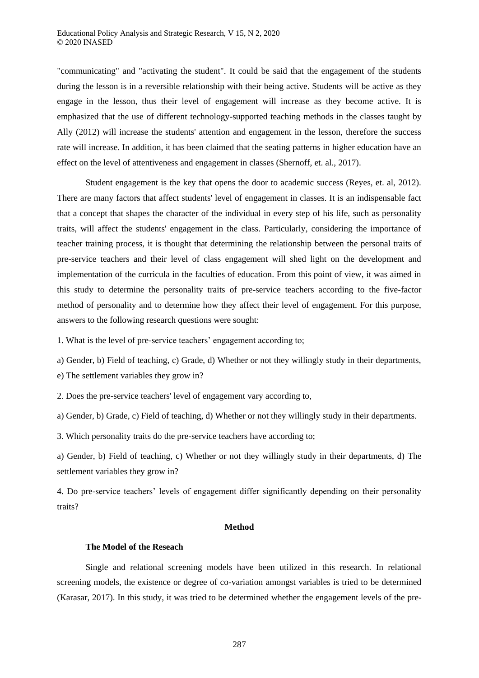"communicating" and "activating the student". It could be said that the engagement of the students during the lesson is in a reversible relationship with their being active. Students will be active as they engage in the lesson, thus their level of engagement will increase as they become active. It is emphasized that the use of different technology-supported teaching methods in the classes taught by Ally (2012) will increase the students' attention and engagement in the lesson, therefore the success rate will increase. In addition, it has been claimed that the seating patterns in higher education have an effect on the level of attentiveness and engagement in classes (Shernoff, et. al., 2017).

Student engagement is the key that opens the door to academic success (Reyes, et. al, 2012). There are many factors that affect students' level of engagement in classes. It is an indispensable fact that a concept that shapes the character of the individual in every step of his life, such as personality traits, will affect the students' engagement in the class. Particularly, considering the importance of teacher training process, it is thought that determining the relationship between the personal traits of pre-service teachers and their level of class engagement will shed light on the development and implementation of the curricula in the faculties of education. From this point of view, it was aimed in this study to determine the personality traits of pre-service teachers according to the five-factor method of personality and to determine how they affect their level of engagement. For this purpose, answers to the following research questions were sought:

1. What is the level of pre-service teachers' engagement according to;

a) Gender, b) Field of teaching, c) Grade, d) Whether or not they willingly study in their departments,

e) The settlement variables they grow in?

2. Does the pre-service teachers' level of engagement vary according to,

a) Gender, b) Grade, c) Field of teaching, d) Whether or not they willingly study in their departments.

3. Which personality traits do the pre-service teachers have according to;

a) Gender, b) Field of teaching, c) Whether or not they willingly study in their departments, d) The settlement variables they grow in?

4. Do pre-service teachers' levels of engagement differ significantly depending on their personality traits?

#### **Method**

#### **The Model of the Reseach**

Single and relational screening models have been utilized in this research. In relational screening models, the existence or degree of co-variation amongst variables is tried to be determined (Karasar, 2017). In this study, it was tried to be determined whether the engagement levels of the pre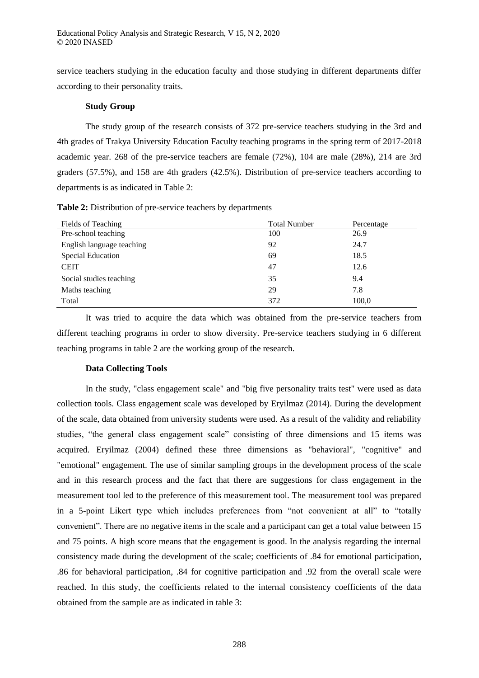service teachers studying in the education faculty and those studying in different departments differ according to their personality traits.

#### **Study Group**

The study group of the research consists of 372 pre-service teachers studying in the 3rd and 4th grades of Trakya University Education Faculty teaching programs in the spring term of 2017-2018 academic year. 268 of the pre-service teachers are female (72%), 104 are male (28%), 214 are 3rd graders (57.5%), and 158 are 4th graders (42.5%). Distribution of pre-service teachers according to departments is as indicated in Table 2:

|  |  |  |  | <b>Table 2:</b> Distribution of pre-service teachers by departments |  |
|--|--|--|--|---------------------------------------------------------------------|--|
|  |  |  |  |                                                                     |  |

| Fields of Teaching        | <b>Total Number</b> | Percentage |
|---------------------------|---------------------|------------|
| Pre-school teaching       | 100                 | 26.9       |
| English language teaching | 92                  | 24.7       |
| <b>Special Education</b>  | 69                  | 18.5       |
| <b>CEIT</b>               | 47                  | 12.6       |
| Social studies teaching   | 35                  | 9.4        |
| Maths teaching            | 29                  | 7.8        |
| Total                     | 372                 | 100,0      |

It was tried to acquire the data which was obtained from the pre-service teachers from different teaching programs in order to show diversity. Pre-service teachers studying in 6 different teaching programs in table 2 are the working group of the research.

## **Data Collecting Tools**

In the study, "class engagement scale" and "big five personality traits test" were used as data collection tools. Class engagement scale was developed by Eryilmaz (2014). During the development of the scale, data obtained from university students were used. As a result of the validity and reliability studies, "the general class engagement scale" consisting of three dimensions and 15 items was acquired. Eryilmaz (2004) defined these three dimensions as "behavioral", "cognitive" and "emotional" engagement. The use of similar sampling groups in the development process of the scale and in this research process and the fact that there are suggestions for class engagement in the measurement tool led to the preference of this measurement tool. The measurement tool was prepared in a 5-point Likert type which includes preferences from "not convenient at all" to "totally convenient". There are no negative items in the scale and a participant can get a total value between 15 and 75 points. A high score means that the engagement is good. In the analysis regarding the internal consistency made during the development of the scale; coefficients of .84 for emotional participation, .86 for behavioral participation, .84 for cognitive participation and .92 from the overall scale were reached. In this study, the coefficients related to the internal consistency coefficients of the data obtained from the sample are as indicated in table 3: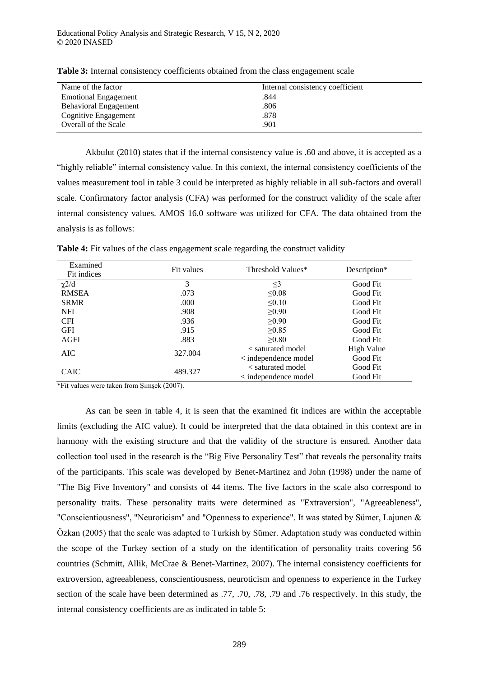| Name of the factor           | Internal consistency coefficient |
|------------------------------|----------------------------------|
| <b>Emotional Engagement</b>  | .844                             |
| <b>Behavioral Engagement</b> | .806                             |
| Cognitive Engagement         | .878                             |
| Overall of the Scale         | .901                             |

**Table 3:** Internal consistency coefficients obtained from the class engagement scale

Akbulut (2010) states that if the internal consistency value is .60 and above, it is accepted as a "highly reliable" internal consistency value. In this context, the internal consistency coefficients of the values measurement tool in table 3 could be interpreted as highly reliable in all sub-factors and overall scale. Confirmatory factor analysis (CFA) was performed for the construct validity of the scale after internal consistency values. AMOS 16.0 software was utilized for CFA. The data obtained from the analysis is as follows:

| Examined<br>Fit indices | Fit values | Threshold Values*            | Description* |
|-------------------------|------------|------------------------------|--------------|
| $\chi$ 2/d              | 3          | $\leq$ 3                     | Good Fit     |
| <b>RMSEA</b>            | .073       | $\leq 0.08$                  | Good Fit     |
| <b>SRMR</b>             | .000       | < 0.10                       | Good Fit     |
| <b>NFI</b>              | .908       | $\geq 0.90$                  | Good Fit     |
| <b>CFI</b>              | .936       | $\geq 0.90$                  | Good Fit     |
| <b>GFI</b>              | .915       | $\geq 0.85$                  | Good Fit     |
| AGFI                    | .883       | >0.80                        | Good Fit     |
| AIC                     |            | < saturated model            | High Value   |
|                         | 327.004    | $\langle$ independence model | Good Fit     |
| <b>CAIC</b>             |            | < saturated model            | Good Fit     |
|                         | 489.327    | $\langle$ independence model | Good Fit     |

Table 4: Fit values of the class engagement scale regarding the construct validity

\*Fit values were taken from Şimşek (2007).

As can be seen in table 4, it is seen that the examined fit indices are within the acceptable limits (excluding the AIC value). It could be interpreted that the data obtained in this context are in harmony with the existing structure and that the validity of the structure is ensured. Another data collection tool used in the research is the "Big Five Personality Test" that reveals the personality traits of the participants. This scale was developed by Benet-Martinez and John (1998) under the name of "The Big Five Inventory" and consists of 44 items. The five factors in the scale also correspond to personality traits. These personality traits were determined as "Extraversion", "Agreeableness", "Conscientiousness", "Neuroticism" and "Openness to experience". It was stated by Sümer, Lajunen & Özkan (2005) that the scale was adapted to Turkish by Sümer. Adaptation study was conducted within the scope of the Turkey section of a study on the identification of personality traits covering 56 countries (Schmitt, Allik, McCrae & Benet-Martinez, 2007). The internal consistency coefficients for extroversion, agreeableness, conscientiousness, neuroticism and openness to experience in the Turkey section of the scale have been determined as .77, .70, .78, .79 and .76 respectively. In this study, the internal consistency coefficients are as indicated in table 5: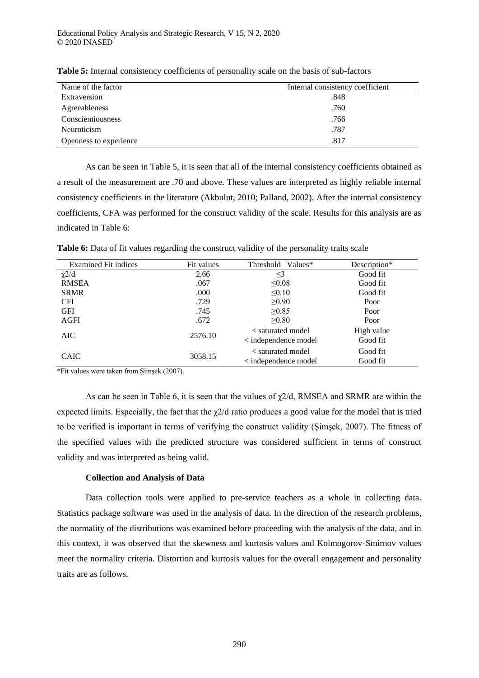| Name of the factor     | Internal consistency coefficient |
|------------------------|----------------------------------|
| Extraversion           | .848                             |
| Agreeableness          | .760                             |
| Conscientiousness      | .766                             |
| Neuroticism            | .787                             |
| Openness to experience | .817                             |

**Table 5:** Internal consistency coefficients of personality scale on the basis of sub-factors

As can be seen in Table 5, it is seen that all of the internal consistency coefficients obtained as a result of the measurement are .70 and above. These values are interpreted as highly reliable internal consistency coefficients in the literature (Akbulut, 2010; Palland, 2002). After the internal consistency coefficients, CFA was performed for the construct validity of the scale. Results for this analysis are as indicated in Table 6:

**Table 6:** Data of fit values regarding the construct validity of the personality traits scale

| <b>Examined Fit indices</b> | Fit values | Threshold Values*                                 | Description*           |
|-----------------------------|------------|---------------------------------------------------|------------------------|
| $\chi$ 2/d                  | 2,66       | $\leq$ 3                                          | Good fit               |
| <b>RMSEA</b>                | .067       | $\leq 0.08$                                       | Good fit               |
| <b>SRMR</b>                 | .000       | $\leq 0.10$                                       | Good fit               |
| <b>CFI</b>                  | .729       | $\geq 0.90$                                       | Poor                   |
| <b>GFI</b>                  | .745       | $\geq 0.85$                                       | Poor                   |
| AGFI                        | .672       | $\geq 0.80$                                       | Poor                   |
| AIC                         | 2576.10    | < saturated model<br>$\langle$ independence model | High value<br>Good fit |
| <b>CAIC</b>                 | 3058.15    | < saturated model<br>< independence model         | Good fit<br>Good fit   |

\*Fit values were taken from Şimşek (2007).

As can be seen in Table 6, it is seen that the values of  $\gamma$ 2/d, RMSEA and SRMR are within the expected limits. Especially, the fact that the  $\chi$ 2/d ratio produces a good value for the model that is tried to be verified is important in terms of verifying the construct validity (Şimşek, 2007). The fitness of the specified values with the predicted structure was considered sufficient in terms of construct validity and was interpreted as being valid.

## **Collection and Analysis of Data**

Data collection tools were applied to pre-service teachers as a whole in collecting data. Statistics package software was used in the analysis of data. In the direction of the research problems, the normality of the distributions was examined before proceeding with the analysis of the data, and in this context, it was observed that the skewness and kurtosis values and Kolmogorov-Smirnov values meet the normality criteria. Distortion and kurtosis values for the overall engagement and personality traits are as follows.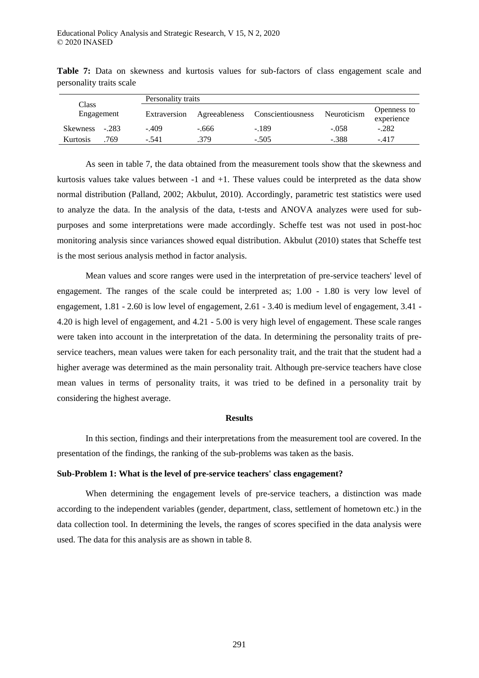| Class<br>Engagement |         | Personality traits |               |                   |             |                           |  |  |  |
|---------------------|---------|--------------------|---------------|-------------------|-------------|---------------------------|--|--|--|
|                     |         | Extraversion       | Agreeableness | Conscientiousness | Neuroticism | Openness to<br>experience |  |  |  |
| <b>Skewness</b>     | $-.283$ | $-.409$            | -.666         | $-189$            | $-.058$     | $-.282$                   |  |  |  |
| Kurtosis            | 769     | - 541              | .379          | $-.505$           | $-.388$     | $-417$                    |  |  |  |

**Table 7:** Data on skewness and kurtosis values for sub-factors of class engagement scale and personality traits scale

As seen in table 7, the data obtained from the measurement tools show that the skewness and kurtosis values take values between  $-1$  and  $+1$ . These values could be interpreted as the data show normal distribution (Palland, 2002; Akbulut, 2010). Accordingly, parametric test statistics were used to analyze the data. In the analysis of the data, t-tests and ANOVA analyzes were used for subpurposes and some interpretations were made accordingly. Scheffe test was not used in post-hoc monitoring analysis since variances showed equal distribution. Akbulut (2010) states that Scheffe test is the most serious analysis method in factor analysis.

Mean values and score ranges were used in the interpretation of pre-service teachers' level of engagement. The ranges of the scale could be interpreted as; 1.00 - 1.80 is very low level of engagement, 1.81 - 2.60 is low level of engagement, 2.61 - 3.40 is medium level of engagement, 3.41 - 4.20 is high level of engagement, and 4.21 - 5.00 is very high level of engagement. These scale ranges were taken into account in the interpretation of the data. In determining the personality traits of preservice teachers, mean values were taken for each personality trait, and the trait that the student had a higher average was determined as the main personality trait. Although pre-service teachers have close mean values in terms of personality traits, it was tried to be defined in a personality trait by considering the highest average.

#### **Results**

In this section, findings and their interpretations from the measurement tool are covered. In the presentation of the findings, the ranking of the sub-problems was taken as the basis.

## **Sub-Problem 1: What is the level of pre-service teachers' class engagement?**

When determining the engagement levels of pre-service teachers, a distinction was made according to the independent variables (gender, department, class, settlement of hometown etc.) in the data collection tool. In determining the levels, the ranges of scores specified in the data analysis were used. The data for this analysis are as shown in table 8.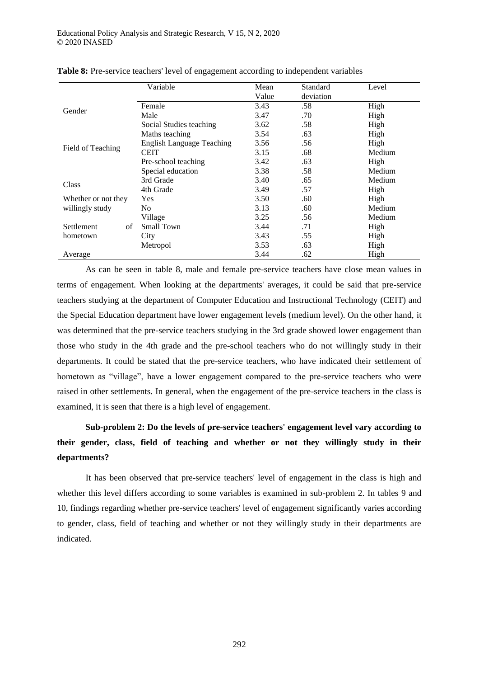|                     | Variable                         | Mean<br>Value | Standard<br>deviation | Level  |
|---------------------|----------------------------------|---------------|-----------------------|--------|
|                     | Female                           | 3.43          | .58                   | High   |
| Gender              | Male                             | 3.47          | .70                   | High   |
|                     | Social Studies teaching          | 3.62          | .58                   | High   |
|                     | Maths teaching                   | 3.54          | .63                   | High   |
|                     | <b>English Language Teaching</b> | 3.56          | .56                   | High   |
| Field of Teaching   | <b>CEIT</b>                      | 3.15          | .68                   | Medium |
|                     | Pre-school teaching              | 3.42          | .63                   | High   |
|                     | Special education                | 3.38          | .58                   | Medium |
| Class               | 3rd Grade                        | 3.40          | .65                   | Medium |
|                     | 4th Grade                        | 3.49          | .57                   | High   |
| Whether or not they | <b>Yes</b>                       | 3.50          | .60                   | High   |
| willingly study     | No                               | 3.13          | .60                   | Medium |
|                     | Village                          | 3.25          | .56                   | Medium |
| Settlement<br>οf    | Small Town                       | 3.44          | .71                   | High   |
| hometown            | City                             | 3.43          | .55                   | High   |
|                     | Metropol                         | 3.53          | .63                   | High   |
| Average             |                                  | 3.44          | .62                   | High   |

| Table 8: Pre-service teachers' level of engagement according to independent variables |  |  |  |  |  |  |  |  |
|---------------------------------------------------------------------------------------|--|--|--|--|--|--|--|--|
|---------------------------------------------------------------------------------------|--|--|--|--|--|--|--|--|

As can be seen in table 8, male and female pre-service teachers have close mean values in terms of engagement. When looking at the departments' averages, it could be said that pre-service teachers studying at the department of Computer Education and Instructional Technology (CEIT) and the Special Education department have lower engagement levels (medium level). On the other hand, it was determined that the pre-service teachers studying in the 3rd grade showed lower engagement than those who study in the 4th grade and the pre-school teachers who do not willingly study in their departments. It could be stated that the pre-service teachers, who have indicated their settlement of hometown as "village", have a lower engagement compared to the pre-service teachers who were raised in other settlements. In general, when the engagement of the pre-service teachers in the class is examined, it is seen that there is a high level of engagement.

# **Sub-problem 2: Do the levels of pre-service teachers' engagement level vary according to their gender, class, field of teaching and whether or not they willingly study in their departments?**

It has been observed that pre-service teachers' level of engagement in the class is high and whether this level differs according to some variables is examined in sub-problem 2. In tables 9 and 10, findings regarding whether pre-service teachers' level of engagement significantly varies according to gender, class, field of teaching and whether or not they willingly study in their departments are indicated.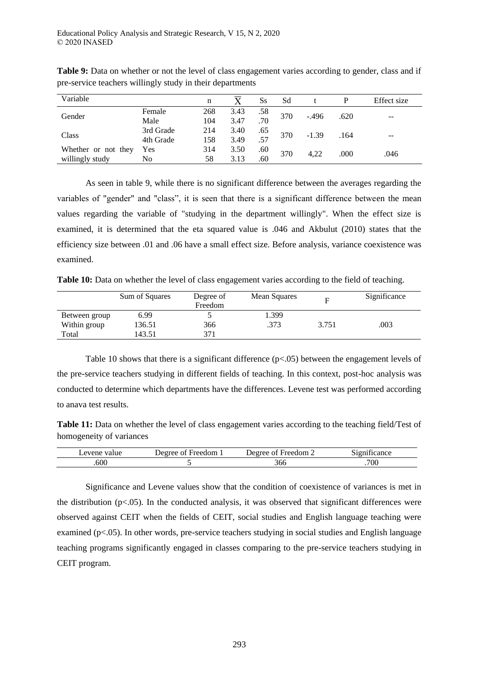| Variable            |           | n   |      | Ss  | Sd  |         |      | Effect size |
|---------------------|-----------|-----|------|-----|-----|---------|------|-------------|
| Gender              | Female    | 268 | 3.43 | .58 | 370 | $-.496$ | .620 | $- -$       |
|                     | Male      | 104 | 3.47 | .70 |     |         |      |             |
| Class               | 3rd Grade | 214 | 3.40 | .65 | 370 | $-1.39$ | .164 | $- -$       |
|                     | 4th Grade | 158 | 3.49 | .57 |     |         |      |             |
| Whether or not they | Yes       | 314 | 3.50 | .60 | 370 | 4.22    | .000 | .046        |
| willingly study     | No        | 58  | 3.13 | .60 |     |         |      |             |

**Table 9:** Data on whether or not the level of class engagement varies according to gender, class and if pre-service teachers willingly study in their departments

As seen in table 9, while there is no significant difference between the averages regarding the variables of "gender" and "class", it is seen that there is a significant difference between the mean values regarding the variable of "studying in the department willingly". When the effect size is examined, it is determined that the eta squared value is .046 and Akbulut (2010) states that the efficiency size between .01 and .06 have a small effect size. Before analysis, variance coexistence was examined.

**Table 10:** Data on whether the level of class engagement varies according to the field of teaching.

|               | Sum of Squares | Degree of<br>Freedom | Mean Squares | F     | Significance |
|---------------|----------------|----------------------|--------------|-------|--------------|
| Between group | 6.99           |                      | 1.399        |       |              |
| Within group  | 36.51          | 366                  | .373         | 3.751 | .003         |
| Total         | 43.51          | 371                  |              |       |              |

Table 10 shows that there is a significant difference  $(p<0.05)$  between the engagement levels of the pre-service teachers studying in different fields of teaching. In this context, post-hoc analysis was conducted to determine which departments have the differences. Levene test was performed according to anava test results.

**Table 11:** Data on whether the level of class engagement varies according to the teaching field/Test of homogeneity of variances

| evene<br>value | Freedom<br>Jeoree<br>$\sim$ | $\pm$ reedom $\pm$<br>Jeoree<br>Λt | . .<br>--<br>cance<br><b>ALCOHOL:</b> |
|----------------|-----------------------------|------------------------------------|---------------------------------------|
| .600           |                             | 300                                | .700                                  |

Significance and Levene values show that the condition of coexistence of variances is met in the distribution ( $p<0.05$ ). In the conducted analysis, it was observed that significant differences were observed against CEIT when the fields of CEIT, social studies and English language teaching were examined (p<.05). In other words, pre-service teachers studying in social studies and English language teaching programs significantly engaged in classes comparing to the pre-service teachers studying in CEIT program.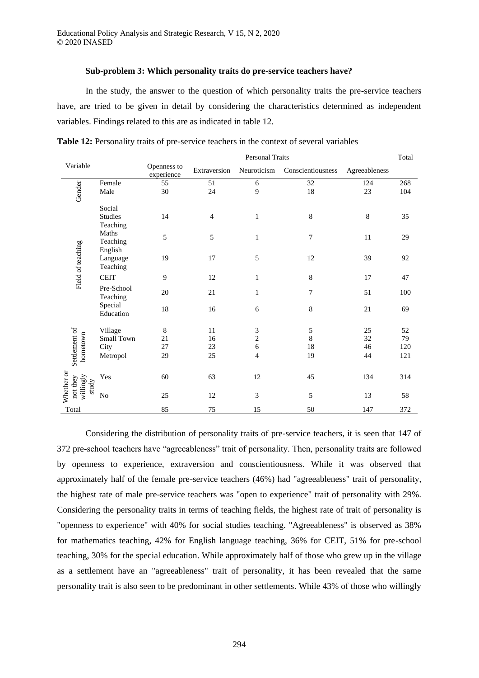#### **Sub-problem 3: Which personality traits do pre-service teachers have?**

In the study, the answer to the question of which personality traits the pre-service teachers have, are tried to be given in detail by considering the characteristics determined as independent variables. Findings related to this are as indicated in table 12.

|                                              |                              | Personal Traits           |                 |                |                   |               | Total |
|----------------------------------------------|------------------------------|---------------------------|-----------------|----------------|-------------------|---------------|-------|
| Variable                                     |                              | Openness to<br>experience | Extraversion    | Neuroticism    | Conscientiousness | Agreeableness |       |
|                                              | Female                       | 55                        | $\overline{51}$ | 6              | $\overline{32}$   | 124           | 268   |
| Gender                                       | Male                         | 30                        | 24              | 9              | $18\,$            | 23            | 104   |
| Field of teaching                            | Social                       |                           |                 |                |                   |               |       |
|                                              | <b>Studies</b><br>Teaching   | 14                        | $\overline{4}$  | 1              | 8                 | 8             | 35    |
|                                              | Maths<br>Teaching<br>English | 5                         | 5               | 1              | 7                 | 11            | 29    |
|                                              | Language<br>Teaching         | 19                        | 17              | 5              | 12                | 39            | 92    |
|                                              | <b>CEIT</b>                  | 9                         | 12              | 1              | $\,$ 8 $\,$       | 17            | 47    |
|                                              | Pre-School<br>Teaching       | 20                        | 21              | 1              | 7                 | 51            | 100   |
|                                              | Special<br>Education         | 18                        | 16              | 6              | $\,$ 8 $\,$       | 21            | 69    |
|                                              | Village                      | 8                         | 11              | 3              | $\sqrt{5}$        | 25            | 52    |
| Settlement of<br>hometown                    | Small Town                   | 21                        | 16              | $\overline{c}$ | $\,8\,$           | 32            | 79    |
|                                              | City                         | 27                        | 23              | 6              | 18                | 46            | 120   |
|                                              | Metropol                     | 29                        | 25              | $\overline{4}$ | 19                | 44            | 121   |
| Whether or<br>willingly<br>not they<br>study | Yes                          | 60                        | 63              | 12             | 45                | 134           | 314   |
|                                              | $\rm No$                     | 25                        | 12              | 3              | 5                 | 13            | 58    |
| Total                                        |                              | 85                        | 75              | 15             | 50                | 147           | 372   |

**Table 12:** Personality traits of pre-service teachers in the context of several variables

Considering the distribution of personality traits of pre-service teachers, it is seen that 147 of 372 pre-school teachers have "agreeableness" trait of personality. Then, personality traits are followed by openness to experience, extraversion and conscientiousness. While it was observed that approximately half of the female pre-service teachers (46%) had "agreeableness" trait of personality, the highest rate of male pre-service teachers was "open to experience" trait of personality with 29%. Considering the personality traits in terms of teaching fields, the highest rate of trait of personality is "openness to experience" with 40% for social studies teaching. "Agreeableness" is observed as 38% for mathematics teaching, 42% for English language teaching, 36% for CEIT, 51% for pre-school teaching, 30% for the special education. While approximately half of those who grew up in the village as a settlement have an "agreeableness" trait of personality, it has been revealed that the same personality trait is also seen to be predominant in other settlements. While 43% of those who willingly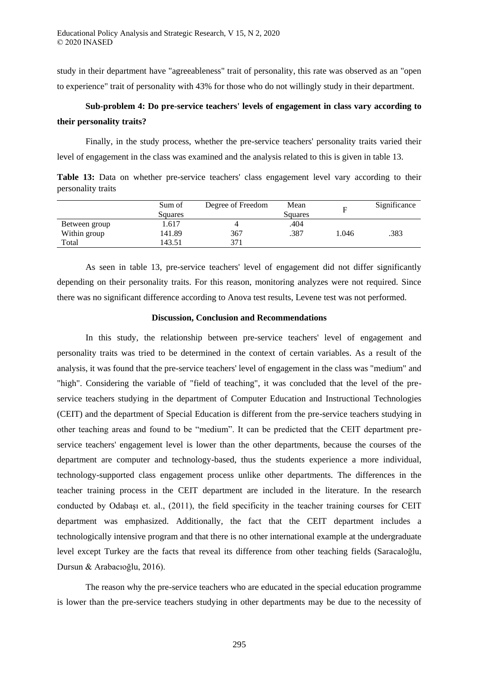study in their department have "agreeableness" trait of personality, this rate was observed as an "open to experience" trait of personality with 43% for those who do not willingly study in their department.

## **Sub-problem 4: Do pre-service teachers' levels of engagement in class vary according to their personality traits?**

Finally, in the study process, whether the pre-service teachers' personality traits varied their level of engagement in the class was examined and the analysis related to this is given in table 13.

Table 13: Data on whether pre-service teachers' class engagement level vary according to their personality traits

|               | Sum of<br>Squares | Degree of Freedom | Mean<br>Squares | Е     | Significance |
|---------------|-------------------|-------------------|-----------------|-------|--------------|
| Between group | 1.617             |                   | .404            |       |              |
| Within group  | 141.89            | 367               | .387            | 1.046 | .383         |
| Total         | 143.51            | 371               |                 |       |              |

As seen in table 13, pre-service teachers' level of engagement did not differ significantly depending on their personality traits. For this reason, monitoring analyzes were not required. Since there was no significant difference according to Anova test results, Levene test was not performed.

#### **Discussion, Conclusion and Recommendations**

In this study, the relationship between pre-service teachers' level of engagement and personality traits was tried to be determined in the context of certain variables. As a result of the analysis, it was found that the pre-service teachers' level of engagement in the class was "medium" and "high". Considering the variable of "field of teaching", it was concluded that the level of the preservice teachers studying in the department of Computer Education and Instructional Technologies (CEIT) and the department of Special Education is different from the pre-service teachers studying in other teaching areas and found to be "medium". It can be predicted that the CEIT department preservice teachers' engagement level is lower than the other departments, because the courses of the department are computer and technology-based, thus the students experience a more individual, technology-supported class engagement process unlike other departments. The differences in the teacher training process in the CEIT department are included in the literature. In the research conducted by Odabaşı et. al., (2011), the field specificity in the teacher training courses for CEIT department was emphasized. Additionally, the fact that the CEIT department includes a technologically intensive program and that there is no other international example at the undergraduate level except Turkey are the facts that reveal its difference from other teaching fields (Saracaloğlu, Dursun & Arabacıoğlu, 2016).

The reason why the pre-service teachers who are educated in the special education programme is lower than the pre-service teachers studying in other departments may be due to the necessity of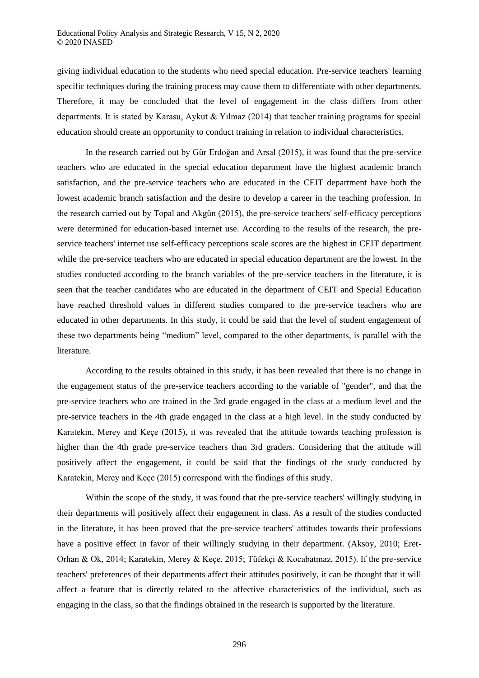giving individual education to the students who need special education. Pre-service teachers' learning specific techniques during the training process may cause them to differentiate with other departments. Therefore, it may be concluded that the level of engagement in the class differs from other departments. It is stated by Karasu, Aykut & Yılmaz (2014) that teacher training programs for special education should create an opportunity to conduct training in relation to individual characteristics.

In the research carried out by Gür Erdoğan and Arsal (2015), it was found that the pre-service teachers who are educated in the special education department have the highest academic branch satisfaction, and the pre-service teachers who are educated in the CEIT department have both the lowest academic branch satisfaction and the desire to develop a career in the teaching profession. In the research carried out by Topal and Akgün (2015), the pre-service teachers' self-efficacy perceptions were determined for education-based internet use. According to the results of the research, the preservice teachers' internet use self-efficacy perceptions scale scores are the highest in CEIT department while the pre-service teachers who are educated in special education department are the lowest. In the studies conducted according to the branch variables of the pre-service teachers in the literature, it is seen that the teacher candidates who are educated in the department of CEIT and Special Education have reached threshold values in different studies compared to the pre-service teachers who are educated in other departments. In this study, it could be said that the level of student engagement of these two departments being "medium" level, compared to the other departments, is parallel with the literature.

According to the results obtained in this study, it has been revealed that there is no change in the engagement status of the pre-service teachers according to the variable of "gender", and that the pre-service teachers who are trained in the 3rd grade engaged in the class at a medium level and the pre-service teachers in the 4th grade engaged in the class at a high level. In the study conducted by Karatekin, Merey and Keçe (2015), it was revealed that the attitude towards teaching profession is higher than the 4th grade pre-service teachers than 3rd graders. Considering that the attitude will positively affect the engagement, it could be said that the findings of the study conducted by Karatekin, Merey and Keçe (2015) correspond with the findings of this study.

Within the scope of the study, it was found that the pre-service teachers' willingly studying in their departments will positively affect their engagement in class. As a result of the studies conducted in the literature, it has been proved that the pre-service teachers' attitudes towards their professions have a positive effect in favor of their willingly studying in their department. (Aksoy, 2010; Eret-Orhan & Ok, 2014; Karatekin, Merey & Keçe, 2015; Tüfekçi & Kocabatmaz, 2015). If the pre-service teachers' preferences of their departments affect their attitudes positively, it can be thought that it will affect a feature that is directly related to the affective characteristics of the individual, such as engaging in the class, so that the findings obtained in the research is supported by the literature.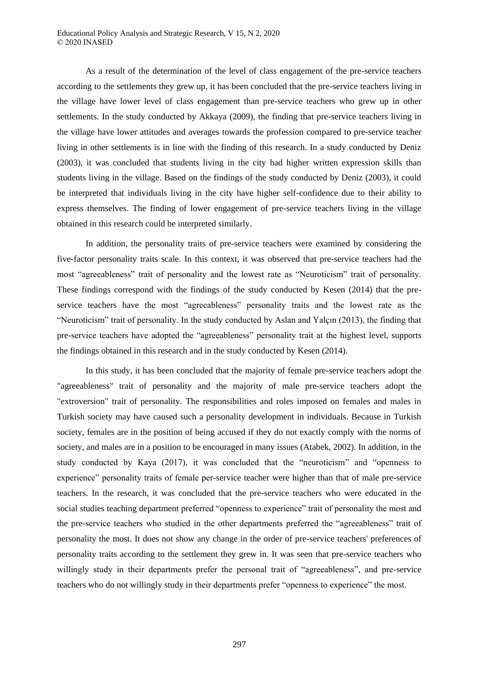As a result of the determination of the level of class engagement of the pre-service teachers according to the settlements they grew up, it has been concluded that the pre-service teachers living in the village have lower level of class engagement than pre-service teachers who grew up in other settlements. In the study conducted by Akkaya (2009), the finding that pre-service teachers living in the village have lower attitudes and averages towards the profession compared to pre-service teacher living in other settlements is in line with the finding of this research. In a study conducted by Deniz (2003), it was concluded that students living in the city had higher written expression skills than students living in the village. Based on the findings of the study conducted by Deniz (2003), it could be interpreted that individuals living in the city have higher self-confidence due to their ability to express themselves. The finding of lower engagement of pre-service teachers living in the village obtained in this research could be interpreted similarly.

In addition, the personality traits of pre-service teachers were examined by considering the five-factor personality traits scale. In this context, it was observed that pre-service teachers had the most "agreeableness" trait of personality and the lowest rate as "Neuroticism" trait of personality. These findings correspond with the findings of the study conducted by Kesen (2014) that the preservice teachers have the most "agreeableness" personality traits and the lowest rate as the "Neuroticism" trait of personality. In the study conducted by Aslan and Yalçın (2013), the finding that pre-service teachers have adopted the "agreeableness" personality trait at the highest level, supports the findings obtained in this research and in the study conducted by Kesen (2014).

In this study, it has been concluded that the majority of female pre-service teachers adopt the "agreeableness" trait of personality and the majority of male pre-service teachers adopt the "extroversion" trait of personality. The responsibilities and roles imposed on females and males in Turkish society may have caused such a personality development in individuals. Because in Turkish society, females are in the position of being accused if they do not exactly comply with the norms of society, and males are in a position to be encouraged in many issues (Atabek, 2002). In addition, in the study conducted by Kaya (2017), it was concluded that the "neuroticism" and "openness to experience" personality traits of female per-service teacher were higher than that of male pre-service teachers. In the research, it was concluded that the pre-service teachers who were educated in the social studies teaching department preferred "openness to experience" trait of personality the most and the pre-service teachers who studied in the other departments preferred the "agreeableness" trait of personality the most. It does not show any change in the order of pre-service teachers' preferences of personality traits according to the settlement they grew in. It was seen that pre-service teachers who willingly study in their departments prefer the personal trait of "agreeableness", and pre-service teachers who do not willingly study in their departments prefer "openness to experience" the most.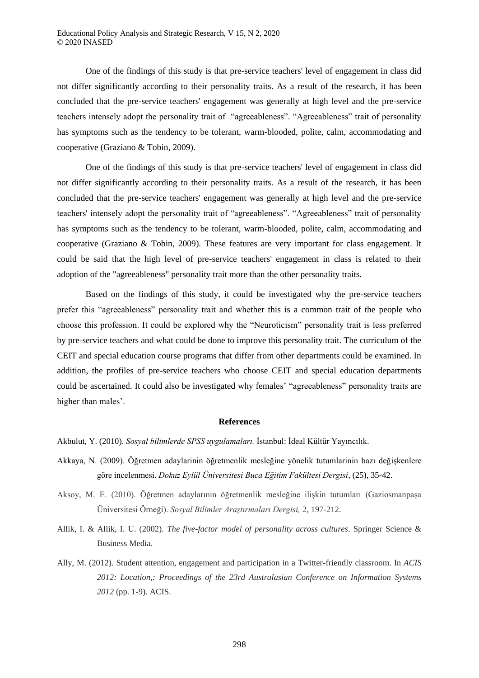One of the findings of this study is that pre-service teachers' level of engagement in class did not differ significantly according to their personality traits. As a result of the research, it has been concluded that the pre-service teachers' engagement was generally at high level and the pre-service teachers intensely adopt the personality trait of "agreeableness". "Agreeableness" trait of personality has symptoms such as the tendency to be tolerant, warm-blooded, polite, calm, accommodating and cooperative (Graziano & Tobin, 2009).

One of the findings of this study is that pre-service teachers' level of engagement in class did not differ significantly according to their personality traits. As a result of the research, it has been concluded that the pre-service teachers' engagement was generally at high level and the pre-service teachers' intensely adopt the personality trait of "agreeableness". "Agreeableness" trait of personality has symptoms such as the tendency to be tolerant, warm-blooded, polite, calm, accommodating and cooperative (Graziano & Tobin, 2009). These features are very important for class engagement. It could be said that the high level of pre-service teachers' engagement in class is related to their adoption of the "agreeableness" personality trait more than the other personality traits.

Based on the findings of this study, it could be investigated why the pre-service teachers prefer this "agreeableness" personality trait and whether this is a common trait of the people who choose this profession. It could be explored why the "Neuroticism" personality trait is less preferred by pre-service teachers and what could be done to improve this personality trait. The curriculum of the CEIT and special education course programs that differ from other departments could be examined. In addition, the profiles of pre-service teachers who choose CEIT and special education departments could be ascertained. It could also be investigated why females' "agreeableness" personality traits are higher than males'.

#### **References**

Akbulut, Y. (2010). *Sosyal bilimlerde SPSS uygulamaları* İstanbul: İdeal Kültür Yayıncılık.

- Akkaya, N. (2009). Öğretmen adaylarinin öğretmenlik mesleğine yönelik tutumlarinin bazı değişkenlere göre incelenmesi. *Dokuz Eylül Üniversitesi Buca Eğitim Fakültesi Dergisi*, (25), 35-42.
- Aksoy, M. E. (2010). Öğretmen adaylarının öğretmenlik mesleğine ilişkin tutumları (Gaziosmanpaşa Üniversitesi Örneği). *Sosyal Bilimler Araştırmaları Dergisi,* 2, 197-212.
- Allik, I. & Allik, I. U. (2002). *The five-factor model of personality across cultures*. Springer Science & Business Media.
- Ally, M. (2012). Student attention, engagement and participation in a Twitter-friendly classroom. In *ACIS 2012: Location,: Proceedings of the 23rd Australasian Conference on Information Systems 2012* (pp. 1-9). ACIS.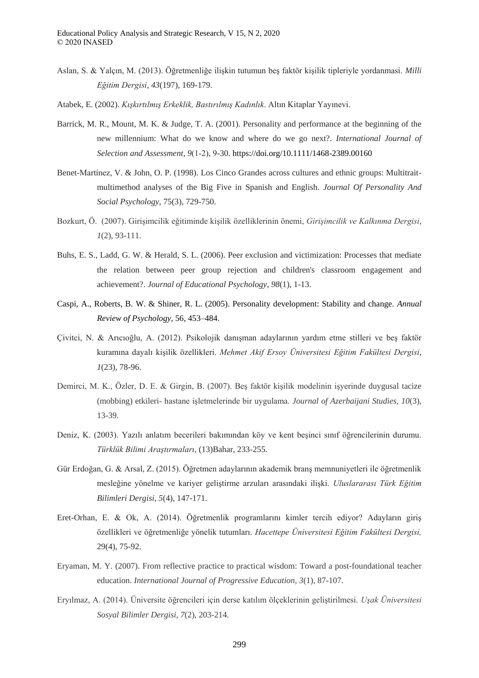- Aslan, S. & Yalçın, M. (2013). Öğretmenliğe ilişkin tutumun beş faktör kişilik tipleriyle yordanmasi. *Milli Eğitim Dergisi*, *43*(197), 169-179.
- Atabek, E. (2002). *Kışkırtılmış Erkeklik, Bastırılmış Kadınlık*. Altın Kitaplar Yayınevi.
- Barrick, M. R., Mount, M. K. & Judge, T. A. (2001). Personality and performance at the beginning of the new millennium: What do we know and where do we go next?. *International Journal of Selection and Assessment*, *9*(1‐2), 9-30. https://doi.org/10.1111/1468-2389.00160
- Benet-Martínez, V. & John, O. P. (1998). Los Cinco Grandes across cultures and ethnic groups: Multitraitmultimethod analyses of the Big Five in Spanish and English. *Journal Of Personality And Social Psychology*, 75(3), 729-750.
- Bozkurt, Ö. (2007). Girişimcilik eğitiminde kişilik özelliklerinin önemi, *Girişimcilik ve Kalkınma Dergisi*, *1*(2), 93-111.
- Buhs, E. S., Ladd, G. W. & Herald, S. L. (2006). Peer exclusion and victimization: Processes that mediate the relation between peer group rejection and children's classroom engagement and achievement?. *Journal of Educational Psychology*, *98*(1), 1-13.
- Caspi, A., Roberts, B. W. & Shiner, R. L. (2005). Personality development: Stability and change. *Annual Review of Psychology,* 56, 453–484.
- Çivitci, N. & Arıcıoğlu, A. (2012). Psikolojik danışman adaylarının yardım etme stilleri ve beş faktör kuramına dayalı kişilik özellikleri. *Mehmet Aki Ersoy Üniversitesi Eğitim Fakültesi Dergisi*, *1*(23), 78-96.
- Demirci, M. K., Özler, D. E. & Girgin, B. (2007). Beş faktör kişilik modelinin işyerinde duygusal tacize (mobbing) etkileri- hastane işletmelerinde bir uygulama. *Journal of Azerbaijani Studies, 10*(3), 13-39.
- Deniz, K. (2003). Yazılı anlatım becerileri bakımından köy ve kent beşinci sınıf öğrencilerinin durumu.  *ürklük Bilimi Araştırmaları*, (13)Bahar, 233-255.
- Gür Erdoğan, G. & Arsal, Z. (2015). Öğretmen adaylarının akademik branş memnuniyetleri ile öğretmenlik mesleğine yönelme ve kariyer geliştirme arzuları arasındaki ilişki. *Uluslararası ürk Eğitim Bilimleri Dergisi*, *5*(4), 147-171.
- Eret-Orhan, E. & Ok, A. (2014). Öğretmenlik programlarını kimler tercih ediyor? Adayların giriş özellikleri ve öğretmenliğe yönelik tutumları. *Hacettepe Üniversitesi Eğitim Fakültesi Dergisi,*  29(4), 75-92.
- Eryaman, M. Y. (2007). From reflective practice to practical wisdom: Toward a post-foundational teacher education. *International Journal of Progressive Education*, *3*(1), 87-107.
- Eryılmaz, A. (2014). Üniversite öğrencileri için derse katılım ölçeklerinin geliştirilmesi. *Uşak Üniversitesi Sosyal Bilimler Dergisi, 7*(2), 203-214.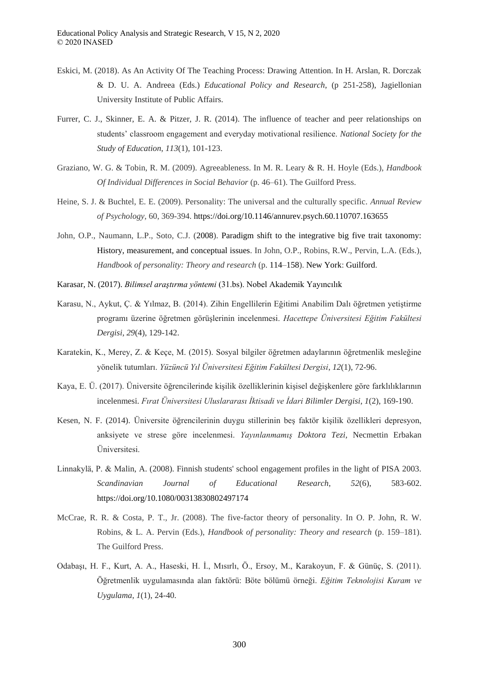- Eskici, M. (2018). As An Activity Of The Teaching Process: Drawing Attention. In H. Arslan, R. Dorczak & D. U. A. Andreea (Eds.) *Educational Policy and Research*, (p 251-258), Jagiellonian University Institute of Public Affairs.
- Furrer, C. J., Skinner, E. A. & Pitzer, J. R. (2014). The influence of teacher and peer relationships on students' classroom engagement and everyday motivational resilience. *National Society for the Study of Education*, *113*(1), 101-123.
- Graziano, W. G. & Tobin, R. M. (2009). Agreeableness. In M. R. Leary & R. H. Hoyle (Eds.), *Handbook Of Individual Differences in Social Behavior* (p. 46–61). The Guilford Press.
- Heine, S. J. & Buchtel, E. E. (2009). Personality: The universal and the culturally specific. *Annual Review of Psychology,* 60, 369-394. https://doi.org/10.1146/annurev.psych.60.110707.163655
- John, O.P., Naumann, L.P., Soto, C.J. (2008). Paradigm shift to the integrative big five trait taxonomy: History, measurement, and conceptual issues. In John, O.P., Robins, R.W., Pervin, L.A. (Eds.), *Handbook of personality: Theory and research* (p. 114–158). New York: Guilford.
- Karasar, N. (2017). *Bilimsel araştırma y ntemi* (31.bs). Nobel Akademik Yayıncılık
- Karasu, N., Aykut, Ç. & Yılmaz, B. (2014). Zihin Engellilerin Eğitimi Anabilim Dalı öğretmen yetiştirme programı üzerine öğretmen görüşlerinin incelenmesi. *Hacettepe Üniversitesi Eğitim Fakültesi Dergisi*, *29*(4), 129-142.
- Karatekin, K., Merey, Z. & Keçe, M. (2015). Sosyal bilgiler öğretmen adaylarının öğretmenlik mesleğine yönelik tutumları. *Yüzüncü Yıl Üniversitesi Eğitim Fakültesi Dergisi*, *12*(1), 72-96.
- Kaya, E. Ü. (2017). Üniversite öğrencilerinde kişilik özelliklerinin kişisel değişkenlere göre farklılıklarının incelenmesi. *Fırat Üniversitesi Uluslararası İktisadi ve İdari Bilimler Dergisi*, *1*(2), 169-190.
- Kesen, N. F. (2014). Üniversite öğrencilerinin duygu stillerinin beş faktör kişilik özellikleri depresyon, anksiyete ve strese göre incelenmesi. *Yayınlanmamış Doktora Tezi,* Necmettin Erbakan Üniversitesi.
- Linnakylä, P. & Malin, A. (2008). Finnish students' school engagement profiles in the light of PISA 2003. *Scandinavian Journal of Educational Research*, *52*(6), 583-602. https://doi.org/10.1080/00313830802497174
- McCrae, R. R. & Costa, P. T., Jr. (2008). The five-factor theory of personality. In O. P. John, R. W. Robins, & L. A. Pervin (Eds.), *Handbook of personality: Theory and research* (p. 159–181). The Guilford Press.
- Odabaşı, H. F., Kurt, A. A., Haseski, H. İ., Mısırlı, Ö., Ersoy, M., Karakoyun, F. & Günüç, S. (2011). Öğretmenlik uygulamasında alan faktörü: Böte bölümü örneği. *Eğitim eknolojisi Kuram ve Uygulama*, *1*(1), 24-40.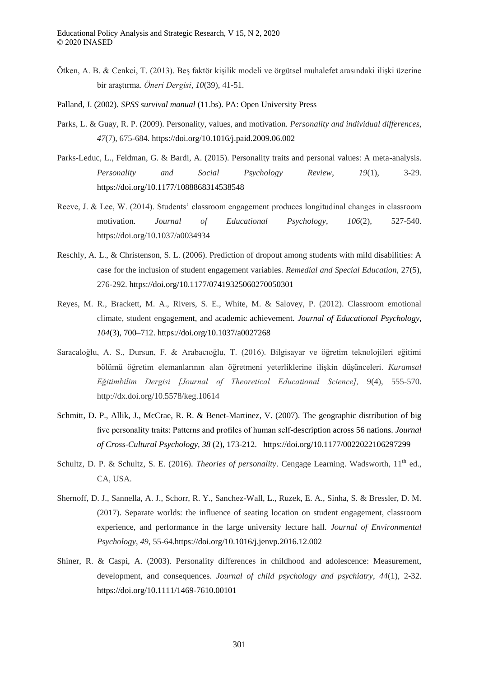- Ötken, A. B. & Cenkci, T. (2013). Beş faktör kişilik modeli ve örgütsel muhalefet arasındaki ilişki üzerine bir araştırma. *Öneri Dergisi*, *10*(39), 41-51.
- Palland, J. (2002). *SPSS survival manual* (11.bs). PA: Open University Press
- Parks, L. & Guay, R. P. (2009). Personality, values, and motivation. *Personality and individual differences*, *47*(7), 675-684. https://doi.org/10.1016/j.paid.2009.06.002
- Parks-Leduc, L., Feldman, G. & Bardi, A. (2015). Personality traits and personal values: A meta-analysis. *Personality and Social Psychology Review*, *19*(1), 3-29. https://doi.org/10.1177/1088868314538548
- Reeve, J. & Lee, W. (2014). Students' classroom engagement produces longitudinal changes in classroom motivation. *Journal of Educational Psychology*, *106*(2), 527-540. https://doi.org/10.1037/a0034934
- Reschly, A. L., & Christenson, S. L. (2006). Prediction of dropout among students with mild disabilities: A case for the inclusion of student engagement variables. *Remedial and Special Education,* 27(5), 276-292. https://doi.org/10.1177/07419325060270050301
- Reyes, M. R., Brackett, M. A., Rivers, S. E., White, M. & Salovey, P. (2012). Classroom emotional climate, student engagement, and academic achievement. *Journal of Educational Psychology, 104*(3), 700–712. https://doi.org/10.1037/a0027268
- Saracaloğlu, A. S., Dursun, F. & Arabacıoğlu, T. (2016). Bilgisayar ve öğretim teknolojileri eğitimi bölümü öğretim elemanlarının alan öğretmeni yeterliklerine ilişkin düşünceleri. *Kuramsal Eğitimbilim Dergisi [Journal of Theoretical Educational Science],* 9(4), 555-570. http://dx.doi.org/10.5578/keg.10614
- Schmitt, D. P., Allik, J., McCrae, R. R. & Benet-Martinez, V. (2007). The geographic distribution of big five personality traits: Patterns and profiles of human self-description across 56 nations. *Journal of Cross-Cultural Psychology, 38* (2), 173-212. https://doi.org/10.1177/0022022106297299
- Schultz, D. P. & Schultz, S. E. (2016). *Theories of personality*. Cengage Learning. Wadsworth, 11<sup>th</sup> ed., CA, USA.
- Shernoff, D. J., Sannella, A. J., Schorr, R. Y., Sanchez-Wall, L., Ruzek, E. A., Sinha, S. & Bressler, D. M. (2017). Separate worlds: the influence of seating location on student engagement, classroom experience, and performance in the large university lecture hall. *Journal of Environmental Psychology*, *49*, 55-64.https://doi.org/10.1016/j.jenvp.2016.12.002
- Shiner, R. & Caspi, A. (2003). Personality differences in childhood and adolescence: Measurement, development, and consequences. *Journal of child psychology and psychiatry*, *44*(1), 2-32. https://doi.org/10.1111/1469-7610.00101